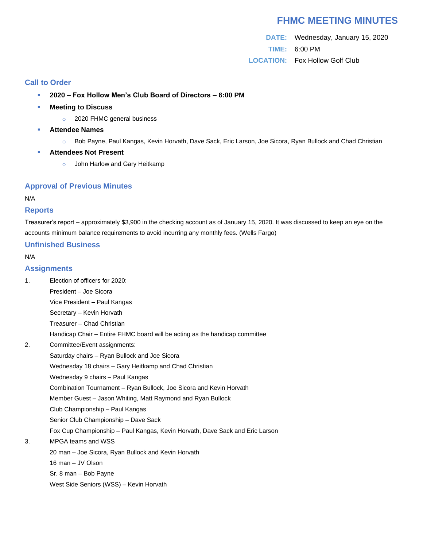# **FHMC MEETING MINUTES**

**DATE:** Wednesday, January 15, 2020 **TIME:** 6:00 PM **LOCATION:** Fox Hollow Golf Club

## **Call to Order**

- **2020 – Fox Hollow Men's Club Board of Directors – 6:00 PM**
- **Meeting to Discuss**
	- o 2020 FHMC general business
- **Attendee Names** 
	- o Bob Payne, Paul Kangas, Kevin Horvath, Dave Sack, Eric Larson, Joe Sicora, Ryan Bullock and Chad Christian
- **Attendees Not Present** 
	- o John Harlow and Gary Heitkamp

#### **Approval of Previous Minutes**

N/A

#### **Reports**

Treasurer's report – approximately \$3,900 in the checking account as of January 15, 2020. It was discussed to keep an eye on the accounts minimum balance requirements to avoid incurring any monthly fees. (Wells Fargo)

### **Unfinished Business**

#### N/A

### **Assignments**

- 1. Election of officers for 2020:
	- President Joe Sicora
	- Vice President Paul Kangas
	- Secretary Kevin Horvath
	- Treasurer Chad Christian
	- Handicap Chair Entire FHMC board will be acting as the handicap committee
- 2. Committee/Event assignments:
	- Saturday chairs Ryan Bullock and Joe Sicora
	- Wednesday 18 chairs Gary Heitkamp and Chad Christian
	- Wednesday 9 chairs Paul Kangas
		- Combination Tournament Ryan Bullock, Joe Sicora and Kevin Horvath
	- Member Guest Jason Whiting, Matt Raymond and Ryan Bullock
	- Club Championship Paul Kangas
	- Senior Club Championship Dave Sack
	- Fox Cup Championship Paul Kangas, Kevin Horvath, Dave Sack and Eric Larson
- 3. MPGA teams and WSS
	- 20 man Joe Sicora, Ryan Bullock and Kevin Horvath
		- 16 man JV Olson
	- Sr. 8 man Bob Payne
	- West Side Seniors (WSS) Kevin Horvath